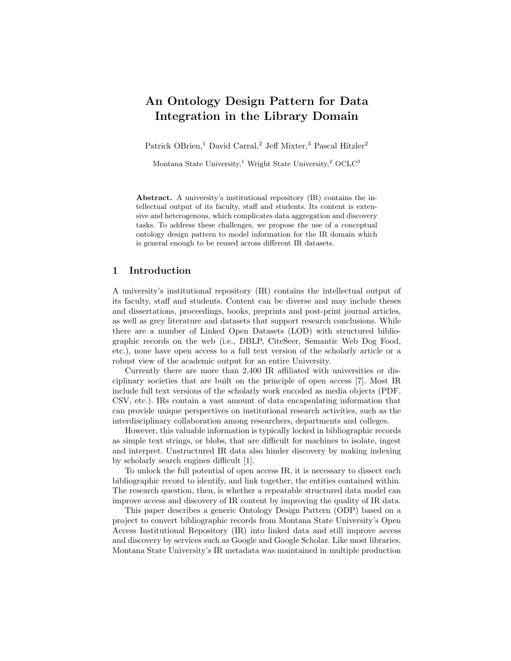# An Ontology Design Pattern for Data Integration in the Library Domain

Patrick OBrien,<sup>1</sup> David Carral,<sup>2</sup> Jeff Mixter,<sup>3</sup> Pascal Hitzler<sup>2</sup>

Montana State University,<sup>1</sup> Wright State University,<sup>2</sup> OCLC<sup>3</sup>

Abstract. A university's institutional repository (IR) contains the intellectual output of its faculty, staff and students. Its content is extensive and heterogenous, which complicates data aggregation and discovery tasks. To address these challenges, we propose the use of a conceptual ontology design pattern to model information for the IR domain which is general enough to be reused across different IR datasets.

## 1 Introduction

A university's institutional repository (IR) contains the intellectual output of its faculty, staff and students. Content can be diverse and may include theses and dissertations, proceedings, books, preprints and post-print journal articles, as well as grey literature and datasets that support research conclusions. While there are a number of Linked Open Datasets (LOD) with structured bibliographic records on the web (i.e., DBLP, CiteSeer, Semantic Web Dog Food, etc.), none have open access to a full text version of the scholarly article or a robust view of the academic output for an entire University.

Currently there are more than 2,400 IR affiliated with universities or disciplinary societies that are built on the principle of open access [7]. Most IR include full text versions of the scholarly work encoded as media objects (PDF, CSV, etc.). IRs contain a vast amount of data encapsulating information that can provide unique perspectives on institutional research activities, such as the interdisciplinary collaboration among researchers, departments and colleges.

However, this valuable information is typically locked in bibliographic records as simple text strings, or blobs, that are difficult for machines to isolate, ingest and interpret. Unstructured IR data also hinder discovery by making indexing by scholarly search engines difficult [1].

To unlock the full potential of open access IR, it is necessary to dissect each bibliographic record to identify, and link together, the entities contained within. The research question, then, is whether a repeatable structured data model can improve access and discovery of IR content by improving the quality of IR data.

This paper describes a generic Ontology Design Pattern (ODP) based on a project to convert bibliographic records from Montana State University's Open Access Institutional Repository (IR) into linked data and still improve access and discovery by services such as Google and Google Scholar. Like most libraries, Montana State University's IR metadata was maintained in multiple production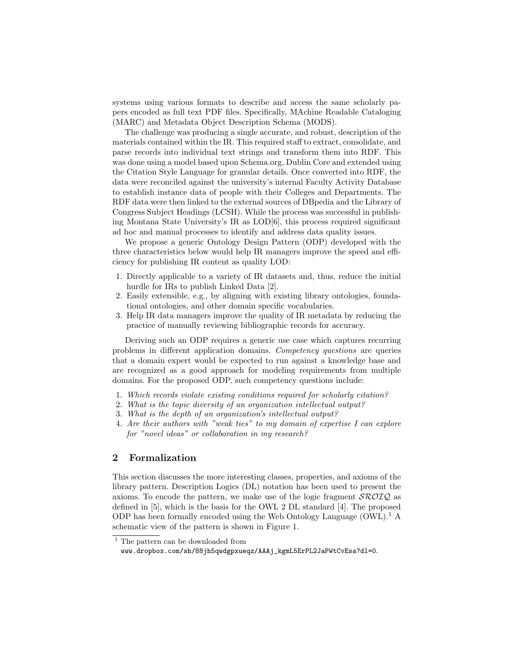systems using various formats to describe and access the same scholarly papers encoded as full text PDF files. Specifically, MAchine Readable Cataloging (MARC) and Metadata Object Description Schema (MODS).

The challenge was producing a single accurate, and robust, description of the materials contained within the IR. This required staff to extract, consolidate, and parse records into individual text strings and transform them into RDF. This was done using a model based upon Schema.org, Dublin Core and extended using the Citation Style Language for granular details. Once converted into RDF, the data were reconciled against the university's internal Faculty Activity Database to establish instance data of people with their Colleges and Departments. The RDF data were then linked to the external sources of DBpedia and the Library of Congress Subject Headings (LCSH). While the process was successful in publishing Montana State University's IR as LOD[6], this process required significant ad hoc and manual processes to identify and address data quality issues.

We propose a generic Ontology Design Pattern (ODP) developed with the three characteristics below would help IR managers improve the speed and efficiency for publishing IR content as quality LOD:

- 1. Directly applicable to a variety of IR datasets and, thus, reduce the initial hurdle for IRs to publish Linked Data [2].
- 2. Easily extensible, e.g., by aligning with existing library ontologies, foundational ontologies, and other domain specific vocabularies.
- 3. Help IR data managers improve the quality of IR metadata by reducing the practice of manually reviewing bibliographic records for accuracy.

Deriving such an ODP requires a generic use case which captures recurring problems in different application domains. Competency questions are queries that a domain expert would be expected to run against a knowledge base and are recognized as a good approach for modeling requirements from multiple domains. For the proposed ODP, such competency questions include:

- 1. Which records violate existing conditions required for scholarly citation?
- 2. What is the topic diversity of an organization intellectual output?
- 3. What is the depth of an organization's intellectual output?
- 4. Are their authors with "weak ties" to my domain of expertise I can explore for "novel ideas" or collaboration in my research?

#### 2 Formalization

This section discusses the more interesting classes, properties, and axioms of the library pattern. Description Logics (DL) notation has been used to present the axioms. To encode the pattern, we make use of the logic fragment  $\mathcal{SROIQ}$  as defined in [5], which is the basis for the OWL 2 DL standard [4]. The proposed ODP has been formally encoded using the Web Ontology Language  $(0WL)$ .<sup>1</sup> A schematic view of the pattern is shown in Figure 1.

 $^{\mathrm{1}}$  The pattern can be downloaded from

www.dropbox.com/sh/88jh5qwdgpxueqz/AAAj\_kgmL5ErPL2JaPWtCvEsa?dl=0.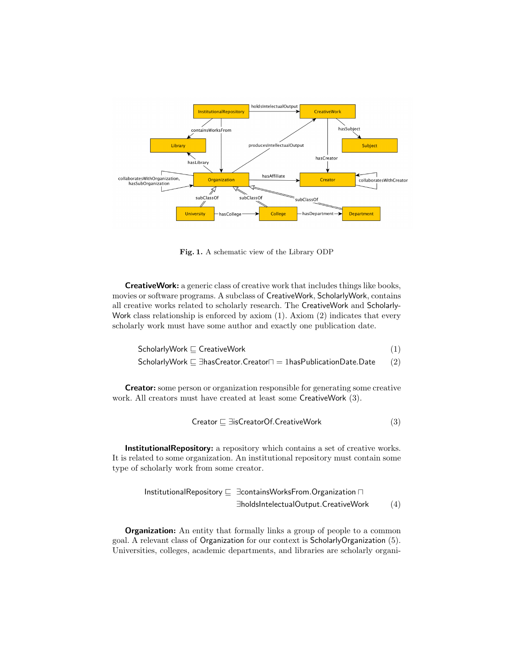

Fig. 1. A schematic view of the Library ODP

CreativeWork: a generic class of creative work that includes things like books, movies or software programs. A subclass of CreativeWork, ScholarlyWork, contains all creative works related to scholarly research. The CreativeWork and Scholarly-Work class relationship is enforced by axiom  $(1)$ . Axiom  $(2)$  indicates that every scholarly work must have some author and exactly one publication date.

$$
\begin{aligned} \text{ScholarlyWork} &\sqsubseteq \text{CreativeWork} \\ \text{ScholarlyWork} &\sqsubseteq \exists \text{hasCreator}.\text{Creator} \sqcap = \text{1hasPublicationDate}.\text{Date} \end{aligned} \tag{1}
$$

Creator: some person or organization responsible for generating some creative work. All creators must have created at least some CreativeWork (3).

$$
Create \sqsubseteq \exists {\sf isCreateOf}.\mathsf{CreateWork} \tag{3}
$$

InstitutionalRepository: a repository which contains a set of creative works. It is related to some organization. An institutional repository must contain some type of scholarly work from some creator.

$$
\begin{array}{rcl}\n\text{InstitutionalRepository} & \sqsubseteq & \exists \text{containsWorksFrom}.\text{Organization} \sqcap \\
& \exists \text{holds} \text{IntelectualOutput}.\text{CreateWork} & (4)\n\end{array}
$$

**Organization:** An entity that formally links a group of people to a common goal. A relevant class of Organization for our context is ScholarlyOrganization (5). Universities, colleges, academic departments, and libraries are scholarly organi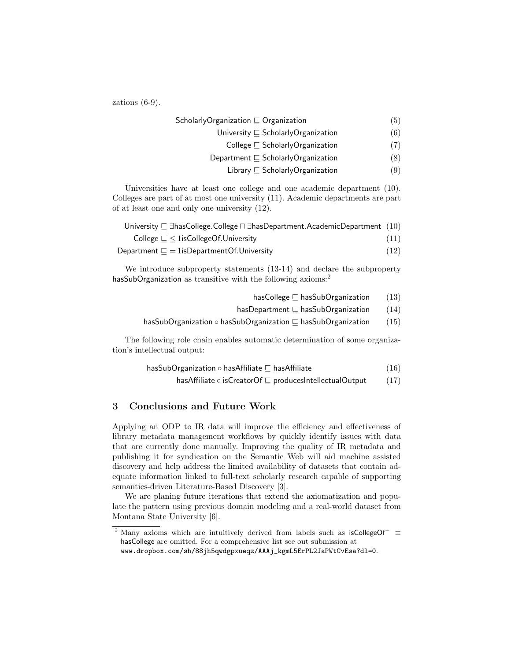zations (6-9).

| ScholarlyOrganization $\sqsubseteq$ Organization | (5) |
|--------------------------------------------------|-----|
| University $\sqsubseteq$ Scholarly Organization  | (6) |
| College $\sqsubseteq$ Scholarly Organization     | (7) |
| Department $\sqsubseteq$ ScholarlyOrganization   | (8) |
|                                                  |     |

Library  $\sqsubseteq$  ScholarlyOrganization (9)

Universities have at least one college and one academic department (10). Colleges are part of at most one university (11). Academic departments are part of at least one and only one university (12).

| University $\sqsubseteq \exists$ has College. College $\sqcap \exists$ has Department. Academic Department (10) |      |
|-----------------------------------------------------------------------------------------------------------------|------|
| College $\sqsubseteq \leq 1$ is College Of. University                                                          | (11) |
| Department $\sqsubseteq$ $=$ 1isDepartmentOf.University                                                         | (12) |

We introduce subproperty statements (13-14) and declare the subproperty hasSubOrganization as transitive with the following axioms:<sup>2</sup>

- hasCollege  $\sqsubseteq$  hasSubOrganization (13)
- hasDepartment  $\sqsubseteq$  hasSubOrganization (14)
- hasSubOrganization  $\circ$  hasSubOrganization  $\Box$  hasSubOrganization (15)

The following role chain enables automatic determination of some organization's intellectual output:

$$
\mathsf{hasSubOrganization} \circ \mathsf{hasAffiliate} \sqsubseteq \mathsf{hasAffiliate} \tag{16}
$$

hasAffiliate  $\circ$  isCreatorOf  $\sqsubseteq$  producesIntellectualOutput (17)

# 3 Conclusions and Future Work

Applying an ODP to IR data will improve the efficiency and effectiveness of library metadata management workflows by quickly identify issues with data that are currently done manually. Improving the quality of IR metadata and publishing it for syndication on the Semantic Web will aid machine assisted discovery and help address the limited availability of datasets that contain adequate information linked to full-text scholarly research capable of supporting semantics-driven Literature-Based Discovery [3].

We are planing future iterations that extend the axiomatization and populate the pattern using previous domain modeling and a real-world dataset from Montana State University [6].

<sup>&</sup>lt;sup>2</sup> Many axioms which are intuitively derived from labels such as isCollegeOf<sup>-</sup> ≡ hasCollege are omitted. For a comprehensive list see out submission at www.dropbox.com/sh/88jh5qwdgpxueqz/AAAj\_kgmL5ErPL2JaPWtCvEsa?dl=0.